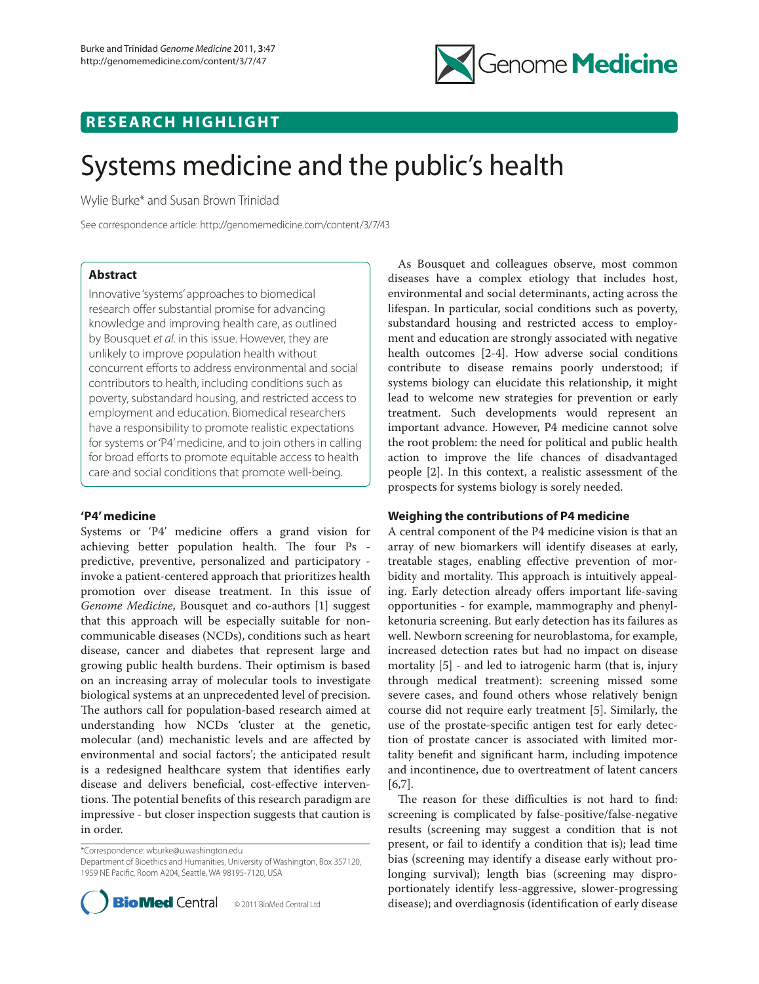

# **RESEARCH HIGHLIGHT**

# Systems medicine and the public's health

Wylie Burke\* and Susan Brown Trinidad

See correspondence article: http://genomemedicine.com/content/3/7/43

# **Abstract**

Innovative 'systems' approaches to biomedical research offer substantial promise for advancing knowledge and improving health care, as outlined by Bousquet *et al*. in this issue. However, they are unlikely to improve population health without concurrent efforts to address environmental and social contributors to health, including conditions such as poverty, substandard housing, and restricted access to employment and education. Biomedical researchers have a responsibility to promote realistic expectations for systems or 'P4' medicine, and to join others in calling for broad efforts to promote equitable access to health care and social conditions that promote well-being.

## **'P4' medicine**

Systems or 'P4' medicine offers a grand vision for achieving better population health. The four Ps predictive, preventive, personalized and participatory invoke a patient-centered approach that prioritizes health promotion over disease treatment. In this issue of *Genome Medicine*, Bousquet and co-authors [1] suggest that this approach will be especially suitable for noncommunicable diseases (NCDs), conditions such as heart disease, cancer and diabetes that represent large and growing public health burdens. Their optimism is based on an increasing array of molecular tools to investigate biological systems at an unprecedented level of precision. The authors call for population-based research aimed at understanding how NCDs 'cluster at the genetic, molecular (and) mechanistic levels and are affected by environmental and social factors'; the anticipated result is a redesigned healthcare system that identifies early disease and delivers beneficial, cost-effective interventions. The potential benefits of this research paradigm are impressive - but closer inspection suggests that caution is in order.

\*Correspondence: wburke@u.washington.edu

Department of Bioethics and Humanities, University of Washington, Box 357120, 1959 NE Pacific, Room A204, Seattle, WA 98195-7120, USA



As Bousquet and colleagues observe, most common diseases have a complex etiology that includes host, environmental and social determinants, acting across the lifespan. In particular, social conditions such as poverty, substandard housing and restricted access to employment and education are strongly associated with negative health outcomes [2-4]. How adverse social conditions contribute to disease remains poorly understood; if systems biology can elucidate this relationship, it might lead to welcome new strategies for prevention or early treatment. Such developments would represent an important advance. However, P4 medicine cannot solve the root problem: the need for political and public health action to improve the life chances of disadvantaged people [2]. In this context, a realistic assessment of the prospects for systems biology is sorely needed.

## **Weighing the contributions of P4 medicine**

A central component of the P4 medicine vision is that an array of new biomarkers will identify diseases at early, treatable stages, enabling effective prevention of morbidity and mortality. This approach is intuitively appealing. Early detection already offers important life-saving opportunities - for example, mammography and phenylketonuria screening. But early detection has its failures as well. Newborn screening for neuroblastoma, for example, increased detection rates but had no impact on disease mortality [5] - and led to iatrogenic harm (that is, injury through medical treatment): screening missed some severe cases, and found others whose relatively benign course did not require early treatment [5]. Similarly, the use of the prostate-specific antigen test for early detection of prostate cancer is associated with limited mortality benefit and significant harm, including impotence and incontinence, due to overtreatment of latent cancers [6,7].

The reason for these difficulties is not hard to find: screening is complicated by false-positive/false-negative results (screening may suggest a condition that is not present, or fail to identify a condition that is); lead time bias (screening may identify a disease early without prolonging survival); length bias (screening may disproportionately identify less-aggressive, slower-progressing disease); and overdiagnosis (identification of early disease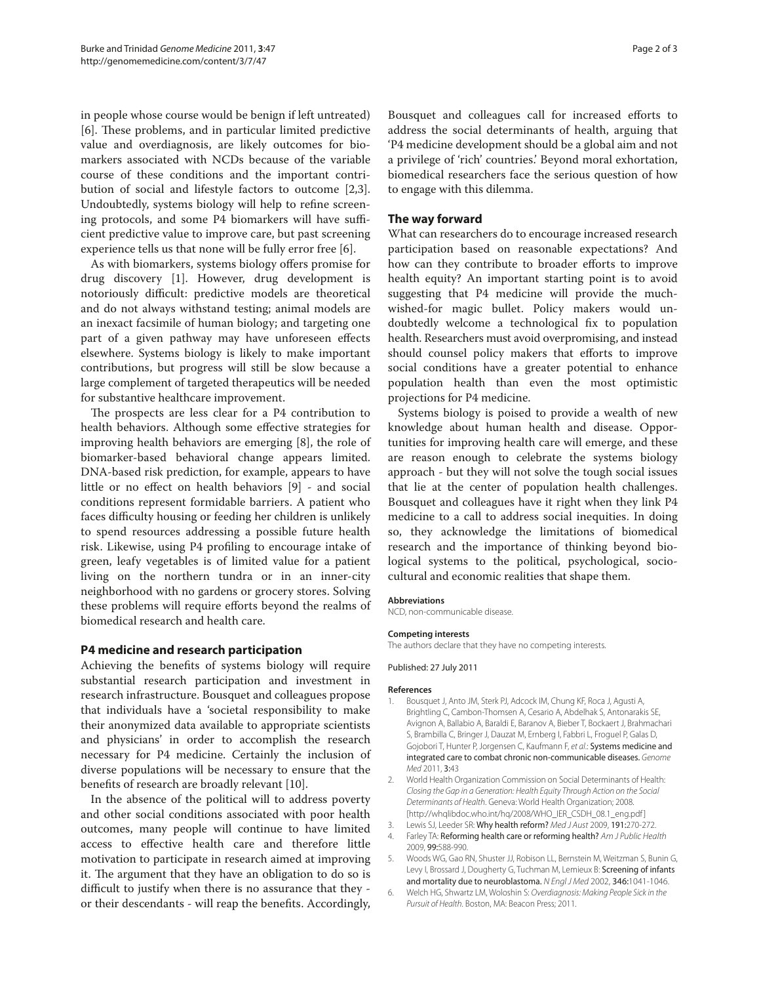in people whose course would be benign if left untreated) [6]. These problems, and in particular limited predictive value and overdiagnosis, are likely outcomes for biomarkers associated with NCDs because of the variable course of these conditions and the important contribution of social and lifestyle factors to outcome [2,3]. Undoubtedly, systems biology will help to refine screening protocols, and some P4 biomarkers will have sufficient predictive value to improve care, but past screening experience tells us that none will be fully error free [6].

As with biomarkers, systems biology offers promise for drug discovery [1]. However, drug development is notoriously difficult: predictive models are theoretical and do not always withstand testing; animal models are an inexact facsimile of human biology; and targeting one part of a given pathway may have unforeseen effects elsewhere. Systems biology is likely to make important contributions, but progress will still be slow because a large complement of targeted therapeutics will be needed for substantive healthcare improvement.

The prospects are less clear for a P4 contribution to health behaviors. Although some effective strategies for improving health behaviors are emerging [8], the role of biomarker-based behavioral change appears limited. DNA-based risk prediction, for example, appears to have little or no effect on health behaviors [9] - and social conditions represent formidable barriers. A patient who faces difficulty housing or feeding her children is unlikely to spend resources addressing a possible future health risk. Likewise, using P4 profiling to encourage intake of green, leafy vegetables is of limited value for a patient living on the northern tundra or in an inner-city neighborhood with no gardens or grocery stores. Solving these problems will require efforts beyond the realms of biomedical research and health care.

#### **P4 medicine and research participation**

Achieving the benefits of systems biology will require substantial research participation and investment in research infrastructure. Bousquet and colleagues propose that individuals have a 'societal responsibility to make their anonymized data available to appropriate scientists and physicians' in order to accomplish the research necessary for P4 medicine. Certainly the inclusion of diverse populations will be necessary to ensure that the benefits of research are broadly relevant [10].

In the absence of the political will to address poverty and other social conditions associated with poor health outcomes, many people will continue to have limited access to effective health care and therefore little motivation to participate in research aimed at improving it. The argument that they have an obligation to do so is difficult to justify when there is no assurance that they or their descendants - will reap the benefits. Accordingly,

Bousquet and colleagues call for increased efforts to address the social determinants of health, arguing that 'P4 medicine development should be a global aim and not a privilege of 'rich' countries.' Beyond moral exhortation, biomedical researchers face the serious question of how to engage with this dilemma.

#### **The way forward**

What can researchers do to encourage increased research participation based on reasonable expectations? And how can they contribute to broader efforts to improve health equity? An important starting point is to avoid suggesting that P4 medicine will provide the muchwished-for magic bullet. Policy makers would undoubtedly welcome a technological fix to population health. Researchers must avoid overpromising, and instead should counsel policy makers that efforts to improve social conditions have a greater potential to enhance population health than even the most optimistic projections for P4 medicine.

Systems biology is poised to provide a wealth of new knowledge about human health and disease. Opportunities for improving health care will emerge, and these are reason enough to celebrate the systems biology approach - but they will not solve the tough social issues that lie at the center of population health challenges. Bousquet and colleagues have it right when they link P4 medicine to a call to address social inequities. In doing so, they acknowledge the limitations of biomedical research and the importance of thinking beyond biological systems to the political, psychological, sociocultural and economic realities that shape them.

#### **Abbreviations**

NCD, non-communicable disease.

#### **Competing interests**

The authors declare that they have no competing interests.

Published: 27 July 2011

#### **References**

- 1. Bousquet J, Anto JM, Sterk PJ, Adcock IM, Chung KF, Roca J, Agusti A, Brightling C, Cambon-Thomsen A, Cesario A, Abdelhak S, Antonarakis SE, Avignon A, Ballabio A, Baraldi E, Baranov A, Bieber T, Bockaert J, Brahmachari S, Brambilla C, Bringer J, Dauzat M, Ernberg I, Fabbri L, Froguel P, Galas D, Gojobori T, Hunter P, Jorgensen C, Kaufmann F, *et al*.: Systems medicine and integrated care to combat chronic non-communicable diseases. *Genome Med* 2011, 3:43
- 2. World Health Organization Commission on Social Determinants of Health: *Closing the Gap in a Generation: Health Equity Through Action on the Social Determinants of Health*. Geneva: World Health Organization; 2008. [http://whqlibdoc.who.int/hq/2008/WHO\_IER\_CSDH\_08.1\_eng.pdf]
- 3. Lewis SJ, Leeder SR: Why health reform? *Med J Aust* 2009, 191:270-272.
- 4. Farley TA: Reforming health care or reforming health? *Am J Public Health* 2009, 99:588-990.
- 5. Woods WG, Gao RN, Shuster JJ, Robison LL, Bernstein M, Weitzman S, Bunin G, Levy I, Brossard J, Dougherty G, Tuchman M, Lemieux B: Screening of infants and mortality due to neuroblastoma. *N Engl J Med* 2002, 346:1041-1046.
- 6. Welch HG, Shwartz LM, Woloshin S: *Overdiagnosis: Making People Sick in the Pursuit of Health.* Boston, MA: Beacon Press; 2011.